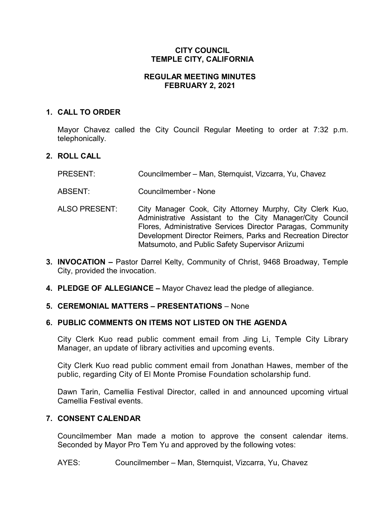# **CITY COUNCIL TEMPLE CITY, CALIFORNIA**

# **REGULAR MEETING MINUTES FEBRUARY 2, 2021**

# **1. CALL TO ORDER**

Mayor Chavez called the City Council Regular Meeting to order at 7:32 p.m. telephonically.

# **2. ROLL CALL**

- PRESENT: Councilmember Man, Sternquist, Vizcarra, Yu, Chavez
- ABSENT: Councilmember None
- ALSO PRESENT: City Manager Cook, City Attorney Murphy, City Clerk Kuo, Administrative Assistant to the City Manager/City Council Flores, Administrative Services Director Paragas, Community Development Director Reimers, Parks and Recreation Director Matsumoto, and Public Safety Supervisor Ariizumi
- **3. INVOCATION –** Pastor Darrel Kelty, Community of Christ, 9468 Broadway, Temple City, provided the invocation.
- **4. PLEDGE OF ALLEGIANCE –** Mayor Chavez lead the pledge of allegiance.

#### **5. CEREMONIAL MATTERS – PRESENTATIONS** – None

# **6. PUBLIC COMMENTS ON ITEMS NOT LISTED ON THE AGENDA**

City Clerk Kuo read public comment email from Jing Li, Temple City Library Manager, an update of library activities and upcoming events.

City Clerk Kuo read public comment email from Jonathan Hawes, member of the public, regarding City of El Monte Promise Foundation scholarship fund.

Dawn Tarin, Camellia Festival Director, called in and announced upcoming virtual Camellia Festival events.

### **7. CONSENT CALENDAR**

Councilmember Man made a motion to approve the consent calendar items. Seconded by Mayor Pro Tem Yu and approved by the following votes:

AYES: Councilmember – Man, Sternquist, Vizcarra, Yu, Chavez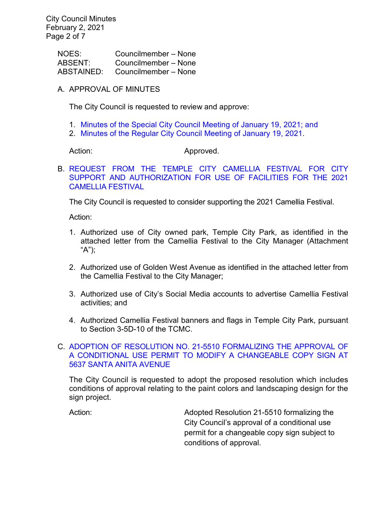City Council Minutes February 2, 2021 Page 2 of 7

> NOES: Councilmember – None ABSENT: Councilmember – None ABSTAINED: Councilmember – None

# A. APPROVAL OF MINUTES

The City Council is requested to review and approve:

- 1. [Minutes of the Special City Council Meeting of January 19, 2021;](https://ca-templecity.civicplus.com/DocumentCenter/View/15664/02_7A1_CCM---2021-01-19-Special) and
- 2. [Minutes of the Regular City Council Meeting of January 19, 2021.](https://ca-templecity.civicplus.com/DocumentCenter/View/15663/02_7A2_CCM---2021-01-19)

#### Action: Approved.

B. [REQUEST FROM THE TEMPLE CITY CAMELLIA FESTIVAL FOR CITY](https://ca-templecity.civicplus.com/DocumentCenter/View/15658/03_7B_Camellia-Festival_Staff-Report-Final-Edits)  [SUPPORT AND AUTHORIZATION FOR USE OF FACILITIES FOR THE 2021](https://ca-templecity.civicplus.com/DocumentCenter/View/15658/03_7B_Camellia-Festival_Staff-Report-Final-Edits)  [CAMELLIA FESTIVAL](https://ca-templecity.civicplus.com/DocumentCenter/View/15658/03_7B_Camellia-Festival_Staff-Report-Final-Edits)

The City Council is requested to consider supporting the 2021 Camellia Festival.

Action:

- 1. Authorized use of City owned park, Temple City Park, as identified in the attached letter from the Camellia Festival to the City Manager (Attachment "A");
- 2. Authorized use of Golden West Avenue as identified in the attached letter from the Camellia Festival to the City Manager;
- 3. Authorized use of City's Social Media accounts to advertise Camellia Festival activities; and
- 4. Authorized Camellia Festival banners and flags in Temple City Park, pursuant to Section 3-5D-10 of the TCMC.

# C. [ADOPTION OF RESOLUTION NO. 21-5510 FORMALIZING THE APPROVAL OF](https://ca-templecity.civicplus.com/DocumentCenter/View/15659/04_7C_Santa-Anita-Bellagio-Car-Wash_CC-Staff-Report-5637-Santa-Anita-Ave-Bellagio-Car-Wash-appeal-2)  [A CONDITIONAL USE PERMIT TO MODIFY A CHANGEABLE COPY SIGN AT](https://ca-templecity.civicplus.com/DocumentCenter/View/15659/04_7C_Santa-Anita-Bellagio-Car-Wash_CC-Staff-Report-5637-Santa-Anita-Ave-Bellagio-Car-Wash-appeal-2)  [5637 SANTA ANITA AVENUE](https://ca-templecity.civicplus.com/DocumentCenter/View/15659/04_7C_Santa-Anita-Bellagio-Car-Wash_CC-Staff-Report-5637-Santa-Anita-Ave-Bellagio-Car-Wash-appeal-2)

The City Council is requested to adopt the proposed resolution which includes conditions of approval relating to the paint colors and landscaping design for the sign project.

Action: Adopted Resolution 21-5510 formalizing the City Council's approval of a conditional use permit for a changeable copy sign subject to conditions of approval.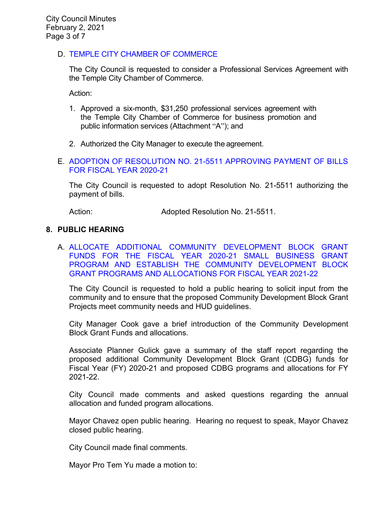# D. [TEMPLE CITY CHAMBER OF COMMERCE](https://ca-templecity.civicplus.com/DocumentCenter/View/15667/05_7D_Chamber-of-Commerce-2021_staff-report)

The City Council is requested to consider a Professional Services Agreement with the Temple City Chamber of Commerce.

Action:

- 1. Approved a six-month, \$31,250 professional services agreement with the Temple City Chamber of Commerce for business promotion and public information services (Attachment "A"); and
- 2. Authorized the City Manager to execute the agreement.

### E. [ADOPTION OF RESOLUTION NO. 21-5511 APPROVING PAYMENT OF BILLS](https://ca-templecity.civicplus.com/DocumentCenter/View/15660/06_7E_Warrant-Register_Reso-No-21-5511-020221---Warrants--Demands-FY-2020-2021)  [FOR FISCAL YEAR 2020-21](https://ca-templecity.civicplus.com/DocumentCenter/View/15660/06_7E_Warrant-Register_Reso-No-21-5511-020221---Warrants--Demands-FY-2020-2021)

The City Council is requested to adopt Resolution No. 21-5511 authorizing the payment of bills.

Action: **Adopted Resolution No. 21-5511.** 

### **8. PUBLIC HEARING**

A. [ALLOCATE ADDITIONAL COMMUNITY DEVELOPMENT BLOCK GRANT](https://ca-templecity.civicplus.com/DocumentCenter/View/15661/07_8A_CDBG-Fund_Staff-Report-FY-2020-21-and-2021-22-v4)  FUNDS FOR THE FISCAL [YEAR 2020-21 SMALL BUSINESS GRANT](https://ca-templecity.civicplus.com/DocumentCenter/View/15661/07_8A_CDBG-Fund_Staff-Report-FY-2020-21-and-2021-22-v4)  [PROGRAM AND ESTABLISH THE COMMUNITY DEVELOPMENT BLOCK](https://ca-templecity.civicplus.com/DocumentCenter/View/15661/07_8A_CDBG-Fund_Staff-Report-FY-2020-21-and-2021-22-v4)  [GRANT PROGRAMS AND ALLOCATIONS FOR FISCAL YEAR 2021-22](https://ca-templecity.civicplus.com/DocumentCenter/View/15661/07_8A_CDBG-Fund_Staff-Report-FY-2020-21-and-2021-22-v4)

The City Council is requested to hold a public hearing to solicit input from the community and to ensure that the proposed Community Development Block Grant Projects meet community needs and HUD guidelines.

City Manager Cook gave a brief introduction of the Community Development Block Grant Funds and allocations.

Associate Planner Gulick gave a summary of the staff report regarding the proposed additional Community Development Block Grant (CDBG) funds for Fiscal Year (FY) 2020-21 and proposed CDBG programs and allocations for FY 2021-22.

City Council made comments and asked questions regarding the annual allocation and funded program allocations.

Mayor Chavez open public hearing. Hearing no request to speak, Mayor Chavez closed public hearing.

City Council made final comments.

Mayor Pro Tem Yu made a motion to: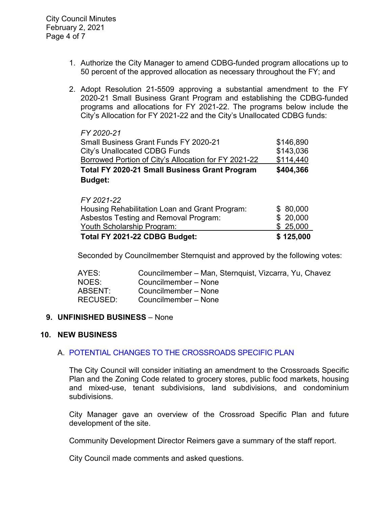- 1. Authorize the City Manager to amend CDBG-funded program allocations up to 50 percent of the approved allocation as necessary throughout the FY; and
- 2. Adopt Resolution 21-5509 approving a substantial amendment to the FY 2020-21 Small Business Grant Program and establishing the CDBG-funded programs and allocations for FY 2021-22. The programs below include the City's Allocation for FY 2021-22 and the City's Unallocated CDBG funds:

| <b>Budget:</b>                                       |           |  |
|------------------------------------------------------|-----------|--|
| <b>Total FY 2020-21 Small Business Grant Program</b> | \$404,366 |  |
| Borrowed Portion of City's Allocation for FY 2021-22 | \$114,440 |  |
| City's Unallocated CDBG Funds                        | \$143,036 |  |
| <b>Small Business Grant Funds FY 2020-21</b>         | \$146,890 |  |
| FY 2020-21                                           |           |  |

| Total FY 2021-22 CDBG Budget:                  | \$125,000 |
|------------------------------------------------|-----------|
| Youth Scholarship Program:                     | \$25,000  |
| Asbestos Testing and Removal Program:          | \$20,000  |
| Housing Rehabilitation Loan and Grant Program: | \$80,000  |
| FY 2021-22                                     |           |

Seconded by Councilmember Sternquist and approved by the following votes:

| AYES:           | Councilmember – Man, Sternquist, Vizcarra, Yu, Chavez |
|-----------------|-------------------------------------------------------|
| NOES:           | Councilmember - None                                  |
| ABSENT:         | Councilmember - None                                  |
| <b>RECUSED:</b> | Councilmember - None                                  |

# **9. UNFINISHED BUSINESS** – None

#### **10. NEW BUSINESS**

# A. [POTENTIAL CHANGES TO THE CROSSROADS SPECIFIC PLAN](https://ca-templecity.civicplus.com/DocumentCenter/View/15662/08_10A_CSP_Staff-Report_Final)

The City Council will consider initiating an amendment to the Crossroads Specific Plan and the Zoning Code related to grocery stores, public food markets, housing and mixed-use, tenant subdivisions, land subdivisions, and condominium subdivisions.

City Manager gave an overview of the Crossroad Specific Plan and future development of the site.

Community Development Director Reimers gave a summary of the staff report.

City Council made comments and asked questions.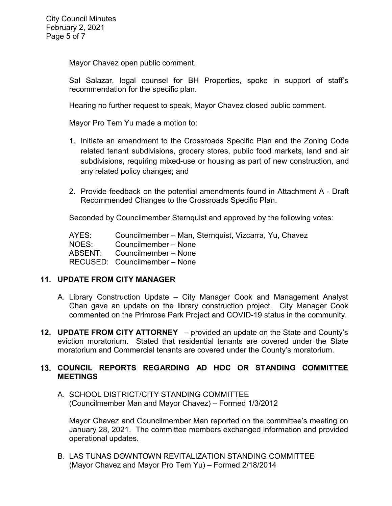Mayor Chavez open public comment.

Sal Salazar, legal counsel for BH Properties, spoke in support of staff's recommendation for the specific plan.

Hearing no further request to speak, Mayor Chavez closed public comment.

Mayor Pro Tem Yu made a motion to:

- 1. Initiate an amendment to the Crossroads Specific Plan and the Zoning Code related tenant subdivisions, grocery stores, public food markets, land and air subdivisions, requiring mixed-use or housing as part of new construction, and any related policy changes; and
- 2. Provide feedback on the potential amendments found in Attachment A Draft Recommended Changes to the Crossroads Specific Plan.

Seconded by Councilmember Sternquist and approved by the following votes:

AYES: Councilmember – Man, Sternquist, Vizcarra, Yu, Chavez NOES: Councilmember – None<br>ABSENT: Councilmember – None Councilmember – None RECUSED: Councilmember – None

# **11. UPDATE FROM CITY MANAGER**

- A. Library Construction Update City Manager Cook and Management Analyst Chan gave an update on the library construction project. City Manager Cook commented on the Primrose Park Project and COVID-19 status in the community.
- **12. UPDATE FROM CITY ATTORNEY** provided an update on the State and County's eviction moratorium. Stated that residential tenants are covered under the State moratorium and Commercial tenants are covered under the County's moratorium.

# **13. COUNCIL REPORTS REGARDING AD HOC OR STANDING COMMITTEE MEETINGS**

A. SCHOOL DISTRICT/CITY STANDING COMMITTEE (Councilmember Man and Mayor Chavez) – Formed 1/3/2012

Mayor Chavez and Councilmember Man reported on the committee's meeting on January 28, 2021. The committee members exchanged information and provided operational updates.

B. LAS TUNAS DOWNTOWN REVITALIZATION STANDING COMMITTEE (Mayor Chavez and Mayor Pro Tem Yu) – Formed 2/18/2014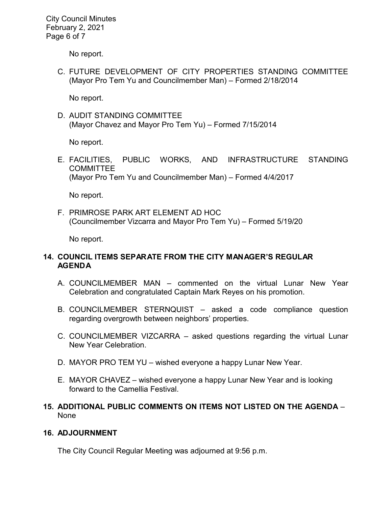City Council Minutes February 2, 2021 Page 6 of 7

No report.

C. FUTURE DEVELOPMENT OF CITY PROPERTIES STANDING COMMITTEE (Mayor Pro Tem Yu and Councilmember Man) – Formed 2/18/2014

No report.

D. AUDIT STANDING COMMITTEE (Mayor Chavez and Mayor Pro Tem Yu) – Formed 7/15/2014

No report.

E. FACILITIES, PUBLIC WORKS, AND INFRASTRUCTURE STANDING **COMMITTEE** (Mayor Pro Tem Yu and Councilmember Man) – Formed 4/4/2017

No report.

F. PRIMROSE PARK ART ELEMENT AD HOC (Councilmember Vizcarra and Mayor Pro Tem Yu) – Formed 5/19/20

No report.

# **14. COUNCIL ITEMS SEPARATE FROM THE CITY MANAGER'S REGULAR AGENDA**

- A. COUNCILMEMBER MAN commented on the virtual Lunar New Year Celebration and congratulated Captain Mark Reyes on his promotion.
- B. COUNCILMEMBER STERNQUIST asked a code compliance question regarding overgrowth between neighbors' properties.
- C. COUNCILMEMBER VIZCARRA asked questions regarding the virtual Lunar New Year Celebration.
- D. MAYOR PRO TEM YU wished everyone a happy Lunar New Year.
- E. MAYOR CHAVEZ wished everyone a happy Lunar New Year and is looking forward to the Camellia Festival.

# **15. ADDITIONAL PUBLIC COMMENTS ON ITEMS NOT LISTED ON THE AGENDA** – None

# **16. ADJOURNMENT**

The City Council Regular Meeting was adjourned at 9:56 p.m.